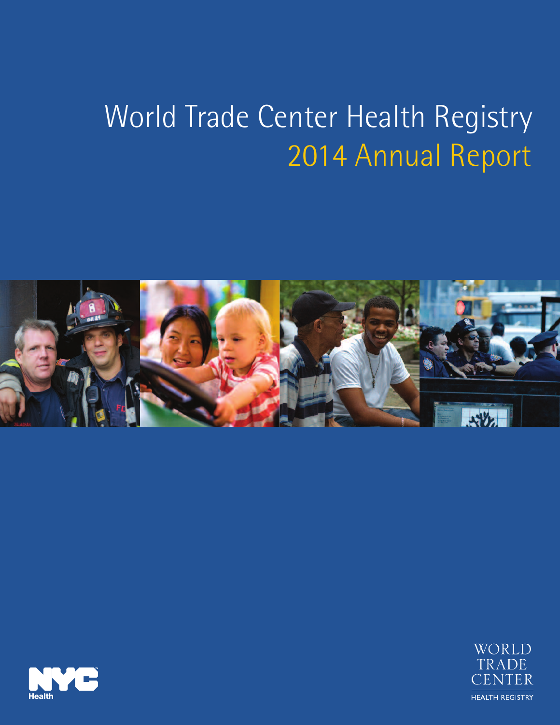# World Trade Center Health Registry 2014 Annual Report





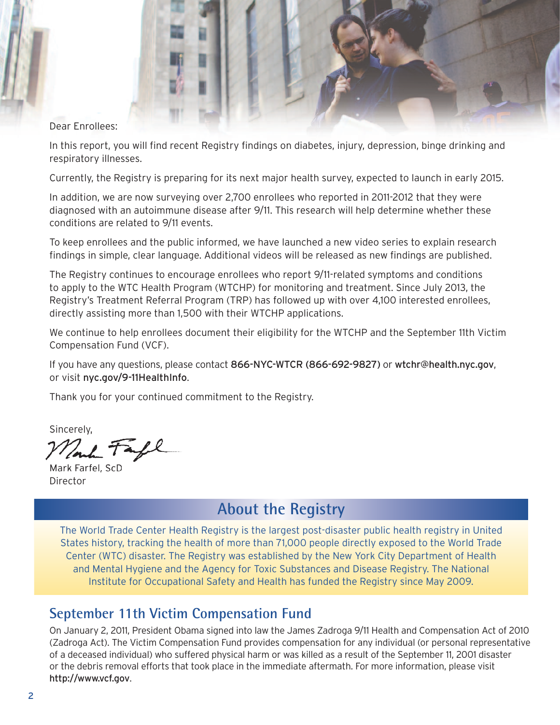Dear Enrollees:

In this report, you will find recent Registry findings on diabetes, injury, depression, binge drinking and respiratory illnesses.

Currently, the Registry is preparing for its next major health survey, expected to launch in early 2015.

In addition, we are now surveying over 2,700 enrollees who reported in 2011-2012 that they were diagnosed with an autoimmune disease after 9/11. This research will help determine whether these conditions are related to 9/11 events.

To keep enrollees and the public informed, we have launched a new video series to explain research findings in simple, clear language. Additional videos will be released as new findings are published.

The Registry continues to encourage enrollees who report 9/11-related symptoms and conditions to apply to the WTC Health Program (WTCHP) for monitoring and treatment. Since July 2013, the Registry's Treatment Referral Program (TRP) has followed up with over 4,100 interested enrollees, directly assisting more than 1,500 with their WTCHP applications.

We continue to help enrollees document their eligibility for the WTCHP and the September 11th Victim Compensation Fund (VCF).

If you have any questions, please contact 866-NYC-WTCR (866-692-9827) or [wtchr@health.nyc.gov](mailto:wtchr@health.nyc.gov), or visit [nyc.gov/9-11HealthInfo](www.nyc.gov/9-11HealthInfo).

Thank you for your continued commitment to the Registry.

Sincerely,

Mark Farfel, ScD Director

# **About the Registry**

The World Trade Center Health Registry is the largest post-disaster public health registry in United States history, tracking the health of more than 71,000 people directly exposed to the World Trade Center (WTC) disaster. The Registry was established by the New York City Department of Health and Mental Hygiene and the Agency for Toxic Substances and Disease Registry. The National Institute for Occupational Safety and Health has funded the Registry since May 2009.

## **September 11th Victim Compensation Fund**

On January 2, 2011, President Obama signed into law the James Zadroga 9/11 Health and Compensation Act of 2010 (Zadroga Act). The Victim Compensation Fund provides compensation for any individual (or personal representative of a deceased individual) who suffered physical harm or was killed as a result of the September 11, 2001 disaster or the debris removal efforts that took place in the immediate aftermath. For more information, please visit <http://www.vcf.gov>.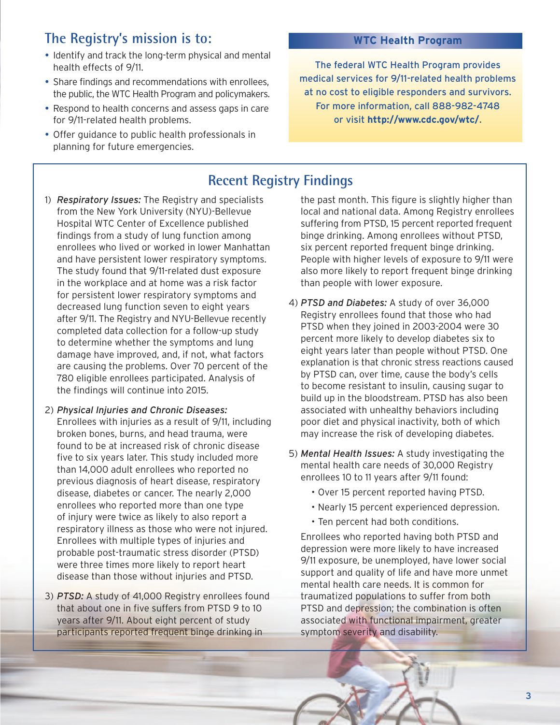# **The Registry's mission is to:**

- Identify and track the long-term physical and mental health effects of 9/11.
- Share findings and recommendations with enrollees, the public, the WTC Health Program and policymakers.
- Respond to health concerns and assess gaps in care for 9/11-related health problems.
- Offer guidance to public health professionals in planning for future emergencies.

#### **WTC Health Program**

The federal WTC Health Program provides medical services for 9/11-related health problems at no cost to eligible responders and survivors. For more information, call 888-982-4748 or visit **<http://www.cdc.gov/wtc/>**.

## **Recent Registry Findings**

- 1) *Respiratory Issues:* The Registry and specialists from the New York University (NYU)-Bellevue Hospital WTC Center of Excellence published findings from a study of lung function among enrollees who lived or worked in lower Manhattan and have persistent lower respiratory symptoms. The study found that 9/11-related dust exposure in the workplace and at home was a risk factor for persistent lower respiratory symptoms and decreased lung function seven to eight years after 9/11. The Registry and NYU-Bellevue recently completed data collection for a follow-up study to determine whether the symptoms and lung damage have improved, and, if not, what factors are causing the problems. Over 70 percent of the 780 eligible enrollees participated. Analysis of the findings will continue into 2015.
- 2) *Physical Injuries and Chronic Diseases:* Enrollees with injuries as a result of 9/11, including broken bones, burns, and head trauma, were found to be at increased risk of chronic disease five to six years later. This study included more than 14,000 adult enrollees who reported no previous diagnosis of heart disease, respiratory disease, diabetes or cancer. The nearly 2,000 enrollees who reported more than one type of injury were twice as likely to also report a respiratory illness as those who were not injured. Enrollees with multiple types of injuries and probable post-traumatic stress disorder (PTSD) were three times more likely to report heart disease than those without injuries and PTSD.
- 3) *PTSD:* A study of 41,000 Registry enrollees found that about one in five suffers from PTSD 9 to 10 years after 9/11. About eight percent of study participants reported frequent binge drinking in

the past month. This figure is slightly higher than local and national data. Among Registry enrollees suffering from PTSD, 15 percent reported frequent binge drinking. Among enrollees without PTSD, six percent reported frequent binge drinking. People with higher levels of exposure to 9/11 were also more likely to report frequent binge drinking than people with lower exposure.

- 4) *PTSD and Diabetes:* A study of over 36,000 Registry enrollees found that those who had PTSD when they joined in 2003-2004 were 30 percent more likely to develop diabetes six to eight years later than people without PTSD. One explanation is that chronic stress reactions caused by PTSD can, over time, cause the body's cells to become resistant to insulin, causing sugar to build up in the bloodstream. PTSD has also been associated with unhealthy behaviors including poor diet and physical inactivity, both of which may increase the risk of developing diabetes.
- 5) *Mental Health Issues:* A study investigating the mental health care needs of 30,000 Registry enrollees 10 to 11 years after 9/11 found:
	- Over 15 percent reported having PTSD.
	- Nearly 15 percent experienced depression.
	- Ten percent had both conditions.

Enrollees who reported having both PTSD and depression were more likely to have increased 9/11 exposure, be unemployed, have lower social support and quality of life and have more unmet mental health care needs. It is common for traumatized populations to suffer from both PTSD and depression; the combination is often associated with functional impairment, greater symptom severity and disability.